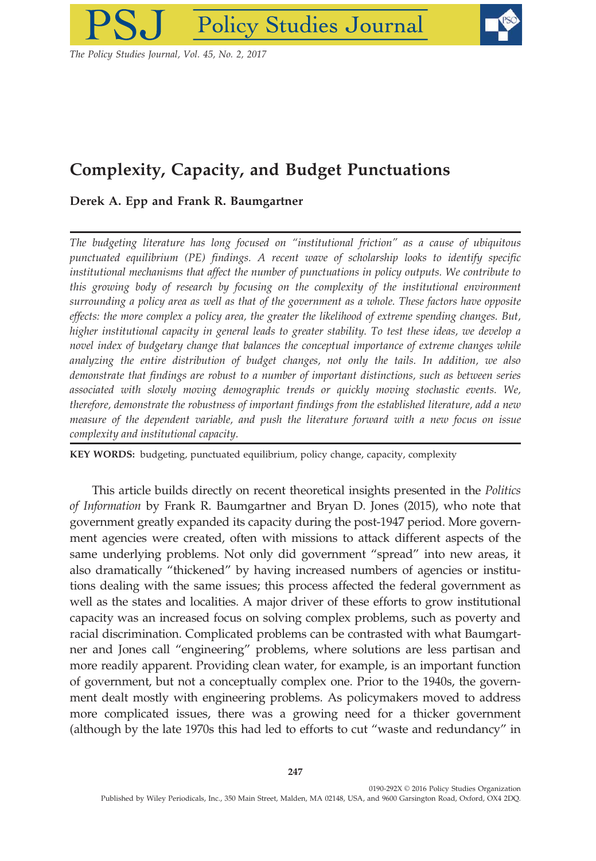

The Policy Studies Journal, Vol. 45, No. 2, 2017

# Complexity, Capacity, and Budget Punctuations

# Derek A. Epp and Frank R. Baumgartner

The budgeting literature has long focused on "institutional friction" as a cause of ubiquitous punctuated equilibrium (PE) findings. A recent wave of scholarship looks to identify specific institutional mechanisms that affect the number of punctuations in policy outputs. We contribute to this growing body of research by focusing on the complexity of the institutional environment surrounding a policy area as well as that of the government as a whole. These factors have opposite effects: the more complex a policy area, the greater the likelihood of extreme spending changes. But, higher institutional capacity in general leads to greater stability. To test these ideas, we develop a novel index of budgetary change that balances the conceptual importance of extreme changes while analyzing the entire distribution of budget changes, not only the tails. In addition, we also demonstrate that findings are robust to a number of important distinctions, such as between series associated with slowly moving demographic trends or quickly moving stochastic events. We, therefore, demonstrate the robustness of important findings from the established literature, add a new measure of the dependent variable, and push the literature forward with a new focus on issue complexity and institutional capacity.

KEY WORDS: budgeting, punctuated equilibrium, policy change, capacity, complexity

This article builds directly on recent theoretical insights presented in the Politics of Information by Frank R. Baumgartner and Bryan D. Jones (2015), who note that government greatly expanded its capacity during the post-1947 period. More government agencies were created, often with missions to attack different aspects of the same underlying problems. Not only did government "spread" into new areas, it also dramatically "thickened" by having increased numbers of agencies or institutions dealing with the same issues; this process affected the federal government as well as the states and localities. A major driver of these efforts to grow institutional capacity was an increased focus on solving complex problems, such as poverty and racial discrimination. Complicated problems can be contrasted with what Baumgartner and Jones call "engineering" problems, where solutions are less partisan and more readily apparent. Providing clean water, for example, is an important function of government, but not a conceptually complex one. Prior to the 1940s, the government dealt mostly with engineering problems. As policymakers moved to address more complicated issues, there was a growing need for a thicker government (although by the late 1970s this had led to efforts to cut "waste and redundancy" in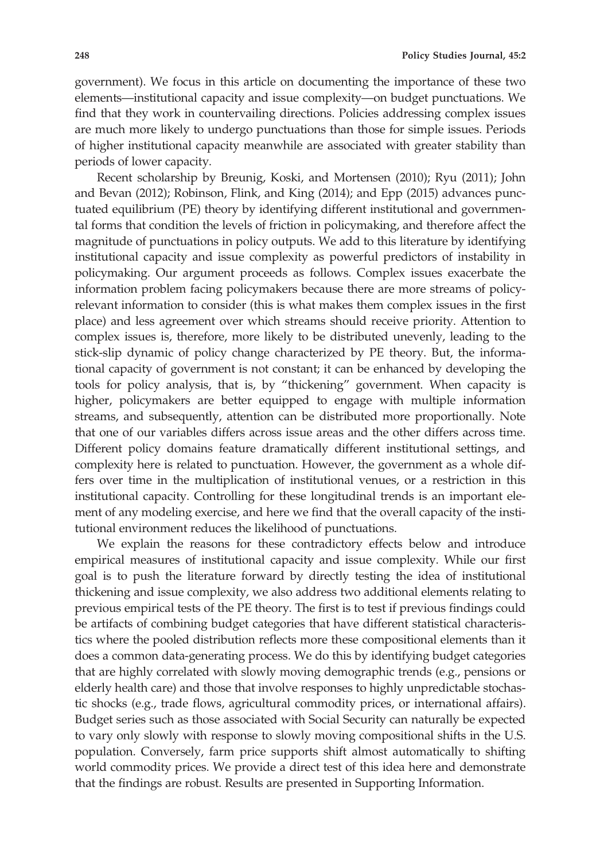government). We focus in this article on documenting the importance of these two elements—institutional capacity and issue complexity—on budget punctuations. We find that they work in countervailing directions. Policies addressing complex issues are much more likely to undergo punctuations than those for simple issues. Periods of higher institutional capacity meanwhile are associated with greater stability than periods of lower capacity.

Recent scholarship by Breunig, Koski, and Mortensen (2010); Ryu (2011); John and Bevan (2012); Robinson, Flink, and King (2014); and Epp (2015) advances punctuated equilibrium (PE) theory by identifying different institutional and governmental forms that condition the levels of friction in policymaking, and therefore affect the magnitude of punctuations in policy outputs. We add to this literature by identifying institutional capacity and issue complexity as powerful predictors of instability in policymaking. Our argument proceeds as follows. Complex issues exacerbate the information problem facing policymakers because there are more streams of policyrelevant information to consider (this is what makes them complex issues in the first place) and less agreement over which streams should receive priority. Attention to complex issues is, therefore, more likely to be distributed unevenly, leading to the stick-slip dynamic of policy change characterized by PE theory. But, the informational capacity of government is not constant; it can be enhanced by developing the tools for policy analysis, that is, by "thickening" government. When capacity is higher, policymakers are better equipped to engage with multiple information streams, and subsequently, attention can be distributed more proportionally. Note that one of our variables differs across issue areas and the other differs across time. Different policy domains feature dramatically different institutional settings, and complexity here is related to punctuation. However, the government as a whole differs over time in the multiplication of institutional venues, or a restriction in this institutional capacity. Controlling for these longitudinal trends is an important element of any modeling exercise, and here we find that the overall capacity of the institutional environment reduces the likelihood of punctuations.

We explain the reasons for these contradictory effects below and introduce empirical measures of institutional capacity and issue complexity. While our first goal is to push the literature forward by directly testing the idea of institutional thickening and issue complexity, we also address two additional elements relating to previous empirical tests of the PE theory. The first is to test if previous findings could be artifacts of combining budget categories that have different statistical characteristics where the pooled distribution reflects more these compositional elements than it does a common data-generating process. We do this by identifying budget categories that are highly correlated with slowly moving demographic trends (e.g., pensions or elderly health care) and those that involve responses to highly unpredictable stochastic shocks (e.g., trade flows, agricultural commodity prices, or international affairs). Budget series such as those associated with Social Security can naturally be expected to vary only slowly with response to slowly moving compositional shifts in the U.S. population. Conversely, farm price supports shift almost automatically to shifting world commodity prices. We provide a direct test of this idea here and demonstrate that the findings are robust. Results are presented in Supporting Information.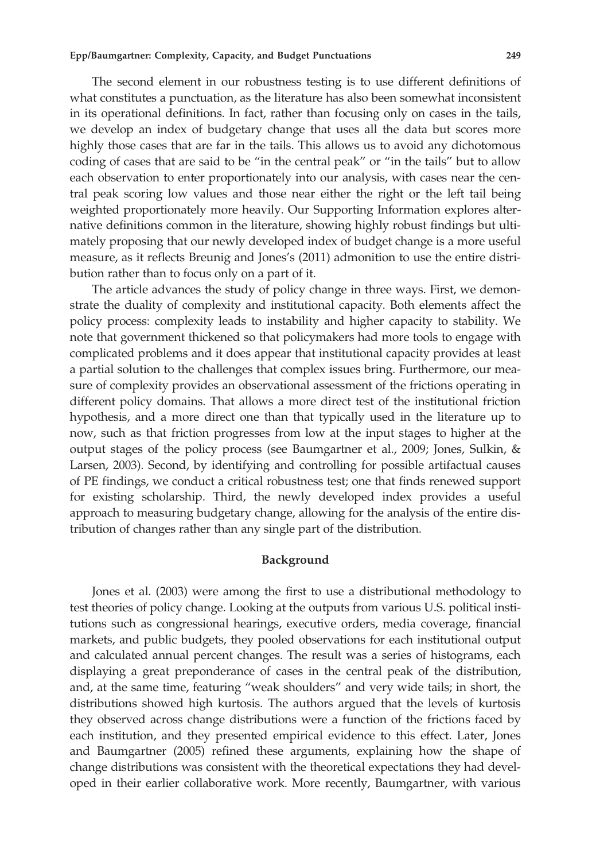The second element in our robustness testing is to use different definitions of what constitutes a punctuation, as the literature has also been somewhat inconsistent in its operational definitions. In fact, rather than focusing only on cases in the tails, we develop an index of budgetary change that uses all the data but scores more highly those cases that are far in the tails. This allows us to avoid any dichotomous coding of cases that are said to be "in the central peak" or "in the tails" but to allow each observation to enter proportionately into our analysis, with cases near the central peak scoring low values and those near either the right or the left tail being weighted proportionately more heavily. Our Supporting Information explores alternative definitions common in the literature, showing highly robust findings but ultimately proposing that our newly developed index of budget change is a more useful measure, as it reflects Breunig and Jones's (2011) admonition to use the entire distribution rather than to focus only on a part of it.

The article advances the study of policy change in three ways. First, we demonstrate the duality of complexity and institutional capacity. Both elements affect the policy process: complexity leads to instability and higher capacity to stability. We note that government thickened so that policymakers had more tools to engage with complicated problems and it does appear that institutional capacity provides at least a partial solution to the challenges that complex issues bring. Furthermore, our measure of complexity provides an observational assessment of the frictions operating in different policy domains. That allows a more direct test of the institutional friction hypothesis, and a more direct one than that typically used in the literature up to now, such as that friction progresses from low at the input stages to higher at the output stages of the policy process (see Baumgartner et al., 2009; Jones, Sulkin, & Larsen, 2003). Second, by identifying and controlling for possible artifactual causes of PE findings, we conduct a critical robustness test; one that finds renewed support for existing scholarship. Third, the newly developed index provides a useful approach to measuring budgetary change, allowing for the analysis of the entire distribution of changes rather than any single part of the distribution.

# Background

Jones et al. (2003) were among the first to use a distributional methodology to test theories of policy change. Looking at the outputs from various U.S. political institutions such as congressional hearings, executive orders, media coverage, financial markets, and public budgets, they pooled observations for each institutional output and calculated annual percent changes. The result was a series of histograms, each displaying a great preponderance of cases in the central peak of the distribution, and, at the same time, featuring "weak shoulders" and very wide tails; in short, the distributions showed high kurtosis. The authors argued that the levels of kurtosis they observed across change distributions were a function of the frictions faced by each institution, and they presented empirical evidence to this effect. Later, Jones and Baumgartner (2005) refined these arguments, explaining how the shape of change distributions was consistent with the theoretical expectations they had developed in their earlier collaborative work. More recently, Baumgartner, with various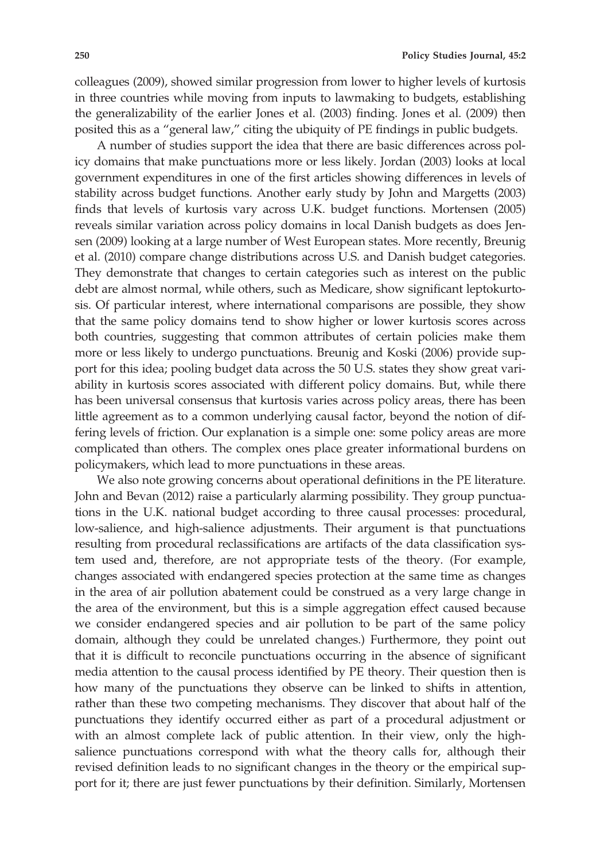colleagues (2009), showed similar progression from lower to higher levels of kurtosis in three countries while moving from inputs to lawmaking to budgets, establishing the generalizability of the earlier Jones et al. (2003) finding. Jones et al. (2009) then posited this as a "general law," citing the ubiquity of PE findings in public budgets.

A number of studies support the idea that there are basic differences across policy domains that make punctuations more or less likely. Jordan (2003) looks at local government expenditures in one of the first articles showing differences in levels of stability across budget functions. Another early study by John and Margetts (2003) finds that levels of kurtosis vary across U.K. budget functions. Mortensen (2005) reveals similar variation across policy domains in local Danish budgets as does Jensen (2009) looking at a large number of West European states. More recently, Breunig et al. (2010) compare change distributions across U.S. and Danish budget categories. They demonstrate that changes to certain categories such as interest on the public debt are almost normal, while others, such as Medicare, show significant leptokurtosis. Of particular interest, where international comparisons are possible, they show that the same policy domains tend to show higher or lower kurtosis scores across both countries, suggesting that common attributes of certain policies make them more or less likely to undergo punctuations. Breunig and Koski (2006) provide support for this idea; pooling budget data across the 50 U.S. states they show great variability in kurtosis scores associated with different policy domains. But, while there has been universal consensus that kurtosis varies across policy areas, there has been little agreement as to a common underlying causal factor, beyond the notion of differing levels of friction. Our explanation is a simple one: some policy areas are more complicated than others. The complex ones place greater informational burdens on policymakers, which lead to more punctuations in these areas.

We also note growing concerns about operational definitions in the PE literature. John and Bevan (2012) raise a particularly alarming possibility. They group punctuations in the U.K. national budget according to three causal processes: procedural, low-salience, and high-salience adjustments. Their argument is that punctuations resulting from procedural reclassifications are artifacts of the data classification system used and, therefore, are not appropriate tests of the theory. (For example, changes associated with endangered species protection at the same time as changes in the area of air pollution abatement could be construed as a very large change in the area of the environment, but this is a simple aggregation effect caused because we consider endangered species and air pollution to be part of the same policy domain, although they could be unrelated changes.) Furthermore, they point out that it is difficult to reconcile punctuations occurring in the absence of significant media attention to the causal process identified by PE theory. Their question then is how many of the punctuations they observe can be linked to shifts in attention, rather than these two competing mechanisms. They discover that about half of the punctuations they identify occurred either as part of a procedural adjustment or with an almost complete lack of public attention. In their view, only the highsalience punctuations correspond with what the theory calls for, although their revised definition leads to no significant changes in the theory or the empirical support for it; there are just fewer punctuations by their definition. Similarly, Mortensen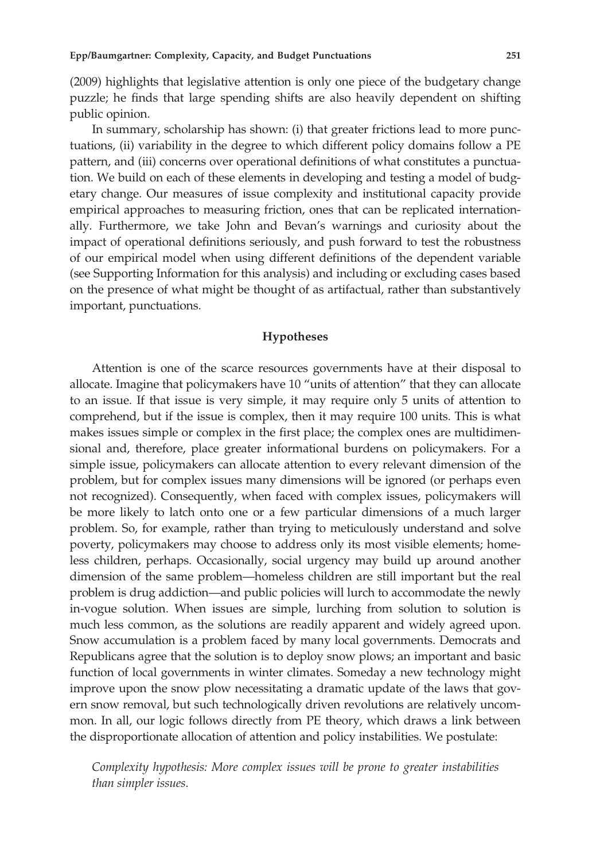(2009) highlights that legislative attention is only one piece of the budgetary change puzzle; he finds that large spending shifts are also heavily dependent on shifting public opinion.

In summary, scholarship has shown: (i) that greater frictions lead to more punctuations, (ii) variability in the degree to which different policy domains follow a PE pattern, and (iii) concerns over operational definitions of what constitutes a punctuation. We build on each of these elements in developing and testing a model of budgetary change. Our measures of issue complexity and institutional capacity provide empirical approaches to measuring friction, ones that can be replicated internationally. Furthermore, we take John and Bevan's warnings and curiosity about the impact of operational definitions seriously, and push forward to test the robustness of our empirical model when using different definitions of the dependent variable (see Supporting Information for this analysis) and including or excluding cases based on the presence of what might be thought of as artifactual, rather than substantively important, punctuations.

# Hypotheses

Attention is one of the scarce resources governments have at their disposal to allocate. Imagine that policymakers have 10 "units of attention" that they can allocate to an issue. If that issue is very simple, it may require only 5 units of attention to comprehend, but if the issue is complex, then it may require 100 units. This is what makes issues simple or complex in the first place; the complex ones are multidimensional and, therefore, place greater informational burdens on policymakers. For a simple issue, policymakers can allocate attention to every relevant dimension of the problem, but for complex issues many dimensions will be ignored (or perhaps even not recognized). Consequently, when faced with complex issues, policymakers will be more likely to latch onto one or a few particular dimensions of a much larger problem. So, for example, rather than trying to meticulously understand and solve poverty, policymakers may choose to address only its most visible elements; homeless children, perhaps. Occasionally, social urgency may build up around another dimension of the same problem—homeless children are still important but the real problem is drug addiction—and public policies will lurch to accommodate the newly in-vogue solution. When issues are simple, lurching from solution to solution is much less common, as the solutions are readily apparent and widely agreed upon. Snow accumulation is a problem faced by many local governments. Democrats and Republicans agree that the solution is to deploy snow plows; an important and basic function of local governments in winter climates. Someday a new technology might improve upon the snow plow necessitating a dramatic update of the laws that govern snow removal, but such technologically driven revolutions are relatively uncommon. In all, our logic follows directly from PE theory, which draws a link between the disproportionate allocation of attention and policy instabilities. We postulate:

Complexity hypothesis: More complex issues will be prone to greater instabilities than simpler issues.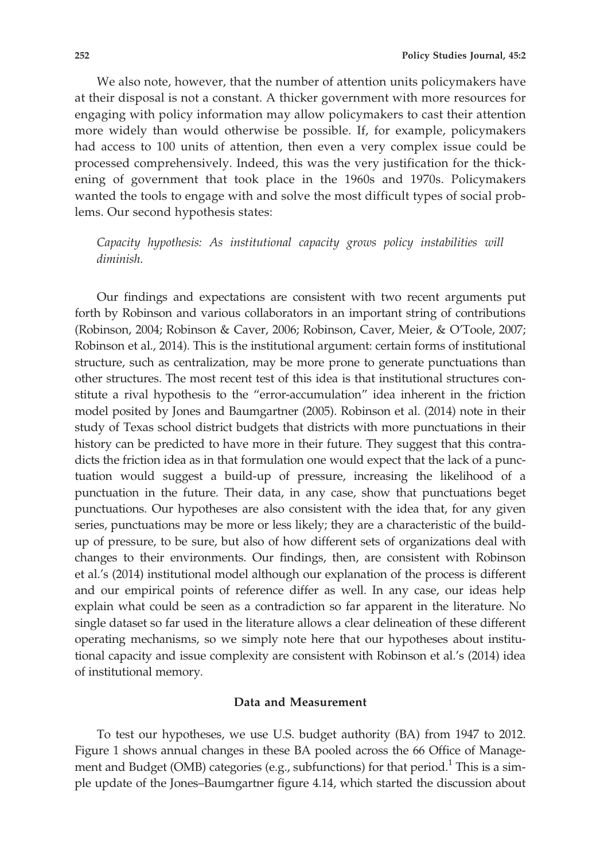We also note, however, that the number of attention units policymakers have at their disposal is not a constant. A thicker government with more resources for engaging with policy information may allow policymakers to cast their attention more widely than would otherwise be possible. If, for example, policymakers had access to 100 units of attention, then even a very complex issue could be processed comprehensively. Indeed, this was the very justification for the thickening of government that took place in the 1960s and 1970s. Policymakers wanted the tools to engage with and solve the most difficult types of social problems. Our second hypothesis states:

Capacity hypothesis: As institutional capacity grows policy instabilities will diminish.

Our findings and expectations are consistent with two recent arguments put forth by Robinson and various collaborators in an important string of contributions (Robinson, 2004; Robinson & Caver, 2006; Robinson, Caver, Meier, & O'Toole, 2007; Robinson et al., 2014). This is the institutional argument: certain forms of institutional structure, such as centralization, may be more prone to generate punctuations than other structures. The most recent test of this idea is that institutional structures constitute a rival hypothesis to the "error-accumulation" idea inherent in the friction model posited by Jones and Baumgartner (2005). Robinson et al. (2014) note in their study of Texas school district budgets that districts with more punctuations in their history can be predicted to have more in their future. They suggest that this contradicts the friction idea as in that formulation one would expect that the lack of a punctuation would suggest a build-up of pressure, increasing the likelihood of a punctuation in the future. Their data, in any case, show that punctuations beget punctuations. Our hypotheses are also consistent with the idea that, for any given series, punctuations may be more or less likely; they are a characteristic of the buildup of pressure, to be sure, but also of how different sets of organizations deal with changes to their environments. Our findings, then, are consistent with Robinson et al.'s (2014) institutional model although our explanation of the process is different and our empirical points of reference differ as well. In any case, our ideas help explain what could be seen as a contradiction so far apparent in the literature. No single dataset so far used in the literature allows a clear delineation of these different operating mechanisms, so we simply note here that our hypotheses about institutional capacity and issue complexity are consistent with Robinson et al.'s (2014) idea of institutional memory.

# Data and Measurement

To test our hypotheses, we use U.S. budget authority (BA) from 1947 to 2012. Figure 1 shows annual changes in these BA pooled across the 66 Office of Management and Budget (OMB) categories (e.g., subfunctions) for that period.<sup>1</sup> This is a simple update of the Jones–Baumgartner figure 4.14, which started the discussion about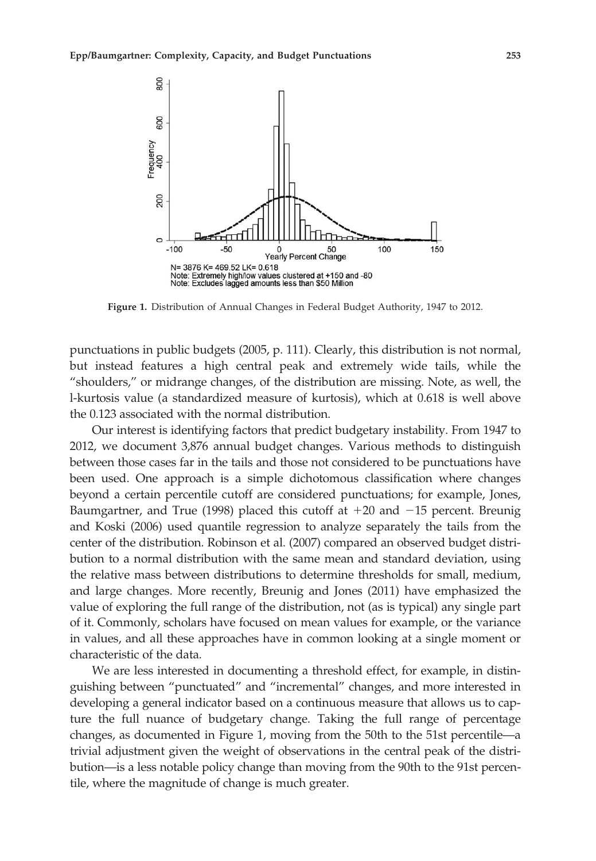

Figure 1. Distribution of Annual Changes in Federal Budget Authority, 1947 to 2012.

punctuations in public budgets (2005, p. 111). Clearly, this distribution is not normal, but instead features a high central peak and extremely wide tails, while the "shoulders," or midrange changes, of the distribution are missing. Note, as well, the l-kurtosis value (a standardized measure of kurtosis), which at 0.618 is well above the 0.123 associated with the normal distribution.

Our interest is identifying factors that predict budgetary instability. From 1947 to 2012, we document 3,876 annual budget changes. Various methods to distinguish between those cases far in the tails and those not considered to be punctuations have been used. One approach is a simple dichotomous classification where changes beyond a certain percentile cutoff are considered punctuations; for example, Jones, Baumgartner, and True (1998) placed this cutoff at  $+20$  and  $-15$  percent. Breunig and Koski (2006) used quantile regression to analyze separately the tails from the center of the distribution. Robinson et al. (2007) compared an observed budget distribution to a normal distribution with the same mean and standard deviation, using the relative mass between distributions to determine thresholds for small, medium, and large changes. More recently, Breunig and Jones (2011) have emphasized the value of exploring the full range of the distribution, not (as is typical) any single part of it. Commonly, scholars have focused on mean values for example, or the variance in values, and all these approaches have in common looking at a single moment or characteristic of the data.

We are less interested in documenting a threshold effect, for example, in distinguishing between "punctuated" and "incremental" changes, and more interested in developing a general indicator based on a continuous measure that allows us to capture the full nuance of budgetary change. Taking the full range of percentage changes, as documented in Figure 1, moving from the 50th to the 51st percentile—a trivial adjustment given the weight of observations in the central peak of the distribution—is a less notable policy change than moving from the 90th to the 91st percentile, where the magnitude of change is much greater.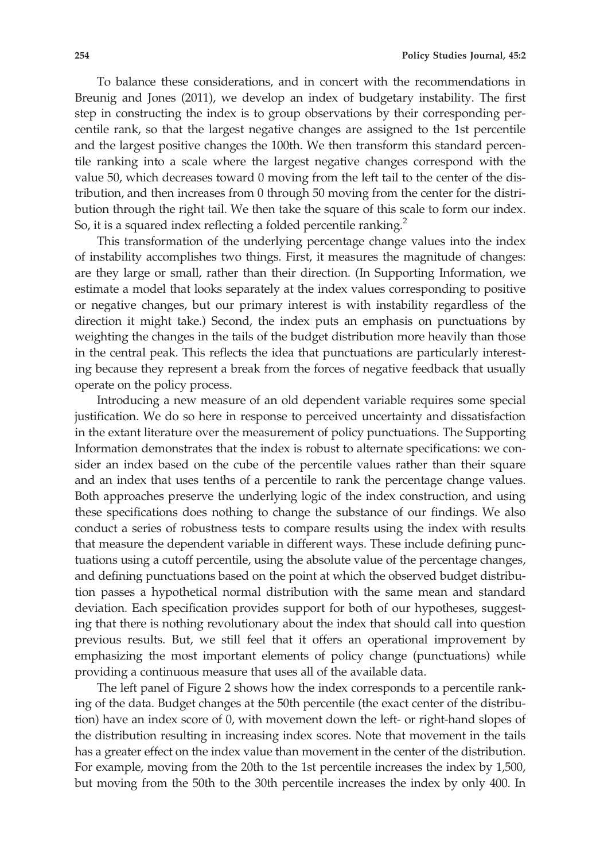To balance these considerations, and in concert with the recommendations in Breunig and Jones (2011), we develop an index of budgetary instability. The first step in constructing the index is to group observations by their corresponding percentile rank, so that the largest negative changes are assigned to the 1st percentile and the largest positive changes the 100th. We then transform this standard percentile ranking into a scale where the largest negative changes correspond with the value 50, which decreases toward 0 moving from the left tail to the center of the distribution, and then increases from 0 through 50 moving from the center for the distribution through the right tail. We then take the square of this scale to form our index. So, it is a squared index reflecting a folded percentile ranking.<sup>2</sup>

This transformation of the underlying percentage change values into the index of instability accomplishes two things. First, it measures the magnitude of changes: are they large or small, rather than their direction. (In Supporting Information, we estimate a model that looks separately at the index values corresponding to positive or negative changes, but our primary interest is with instability regardless of the direction it might take.) Second, the index puts an emphasis on punctuations by weighting the changes in the tails of the budget distribution more heavily than those in the central peak. This reflects the idea that punctuations are particularly interesting because they represent a break from the forces of negative feedback that usually operate on the policy process.

Introducing a new measure of an old dependent variable requires some special justification. We do so here in response to perceived uncertainty and dissatisfaction in the extant literature over the measurement of policy punctuations. The Supporting Information demonstrates that the index is robust to alternate specifications: we consider an index based on the cube of the percentile values rather than their square and an index that uses tenths of a percentile to rank the percentage change values. Both approaches preserve the underlying logic of the index construction, and using these specifications does nothing to change the substance of our findings. We also conduct a series of robustness tests to compare results using the index with results that measure the dependent variable in different ways. These include defining punctuations using a cutoff percentile, using the absolute value of the percentage changes, and defining punctuations based on the point at which the observed budget distribution passes a hypothetical normal distribution with the same mean and standard deviation. Each specification provides support for both of our hypotheses, suggesting that there is nothing revolutionary about the index that should call into question previous results. But, we still feel that it offers an operational improvement by emphasizing the most important elements of policy change (punctuations) while providing a continuous measure that uses all of the available data.

The left panel of Figure 2 shows how the index corresponds to a percentile ranking of the data. Budget changes at the 50th percentile (the exact center of the distribution) have an index score of 0, with movement down the left- or right-hand slopes of the distribution resulting in increasing index scores. Note that movement in the tails has a greater effect on the index value than movement in the center of the distribution. For example, moving from the 20th to the 1st percentile increases the index by 1,500, but moving from the 50th to the 30th percentile increases the index by only 400. In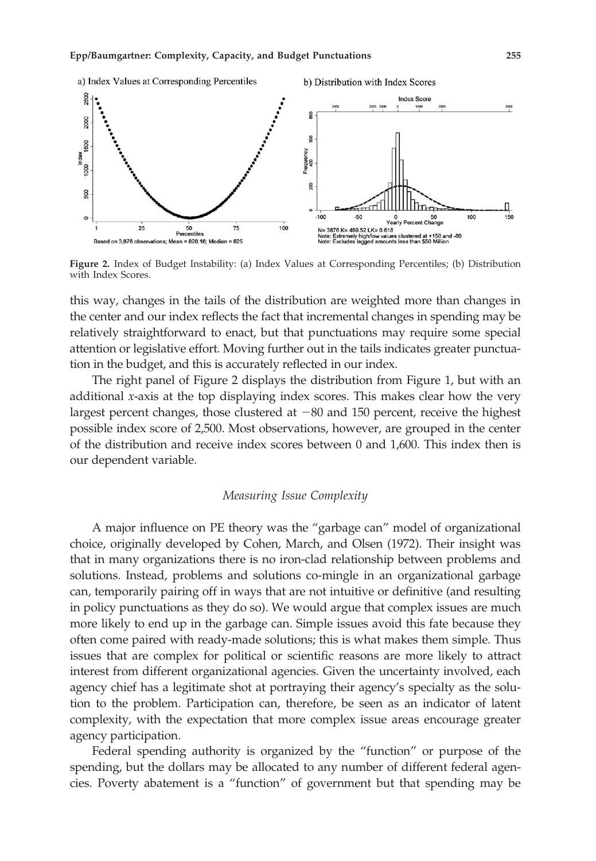

Figure 2. Index of Budget Instability: (a) Index Values at Corresponding Percentiles; (b) Distribution with Index Scores.

this way, changes in the tails of the distribution are weighted more than changes in the center and our index reflects the fact that incremental changes in spending may be relatively straightforward to enact, but that punctuations may require some special attention or legislative effort. Moving further out in the tails indicates greater punctuation in the budget, and this is accurately reflected in our index.

The right panel of Figure 2 displays the distribution from Figure 1, but with an additional x-axis at the top displaying index scores. This makes clear how the very largest percent changes, those clustered at  $-80$  and 150 percent, receive the highest possible index score of 2,500. Most observations, however, are grouped in the center of the distribution and receive index scores between 0 and 1,600. This index then is our dependent variable.

# Measuring Issue Complexity

A major influence on PE theory was the "garbage can" model of organizational choice, originally developed by Cohen, March, and Olsen (1972). Their insight was that in many organizations there is no iron-clad relationship between problems and solutions. Instead, problems and solutions co-mingle in an organizational garbage can, temporarily pairing off in ways that are not intuitive or definitive (and resulting in policy punctuations as they do so). We would argue that complex issues are much more likely to end up in the garbage can. Simple issues avoid this fate because they often come paired with ready-made solutions; this is what makes them simple. Thus issues that are complex for political or scientific reasons are more likely to attract interest from different organizational agencies. Given the uncertainty involved, each agency chief has a legitimate shot at portraying their agency's specialty as the solution to the problem. Participation can, therefore, be seen as an indicator of latent complexity, with the expectation that more complex issue areas encourage greater agency participation.

Federal spending authority is organized by the "function" or purpose of the spending, but the dollars may be allocated to any number of different federal agencies. Poverty abatement is a "function" of government but that spending may be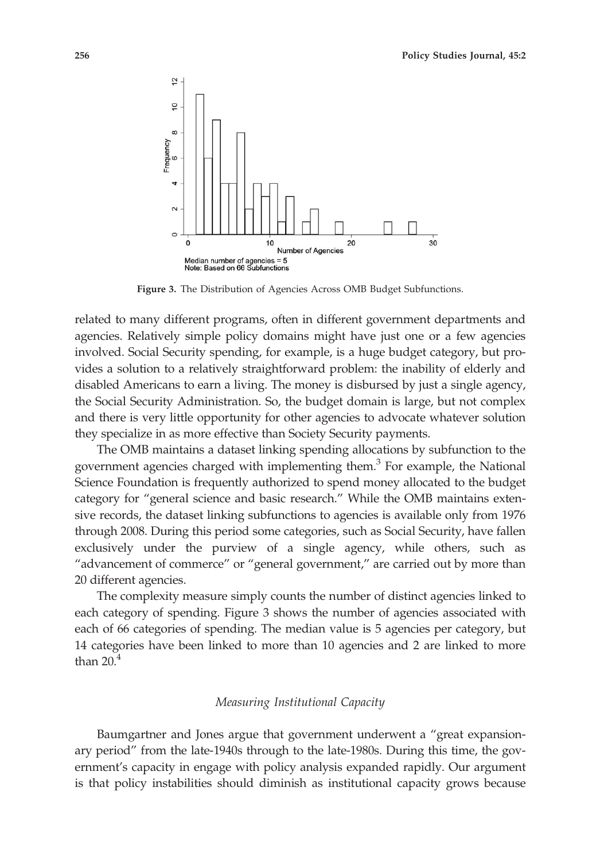

Figure 3. The Distribution of Agencies Across OMB Budget Subfunctions.

related to many different programs, often in different government departments and agencies. Relatively simple policy domains might have just one or a few agencies involved. Social Security spending, for example, is a huge budget category, but provides a solution to a relatively straightforward problem: the inability of elderly and disabled Americans to earn a living. The money is disbursed by just a single agency, the Social Security Administration. So, the budget domain is large, but not complex and there is very little opportunity for other agencies to advocate whatever solution they specialize in as more effective than Society Security payments.

The OMB maintains a dataset linking spending allocations by subfunction to the government agencies charged with implementing them.<sup>3</sup> For example, the National Science Foundation is frequently authorized to spend money allocated to the budget category for "general science and basic research." While the OMB maintains extensive records, the dataset linking subfunctions to agencies is available only from 1976 through 2008. During this period some categories, such as Social Security, have fallen exclusively under the purview of a single agency, while others, such as "advancement of commerce" or "general government," are carried out by more than 20 different agencies.

The complexity measure simply counts the number of distinct agencies linked to each category of spending. Figure 3 shows the number of agencies associated with each of 66 categories of spending. The median value is 5 agencies per category, but 14 categories have been linked to more than 10 agencies and 2 are linked to more than  $20<sup>4</sup>$ 

# Measuring Institutional Capacity

Baumgartner and Jones argue that government underwent a "great expansionary period" from the late-1940s through to the late-1980s. During this time, the government's capacity in engage with policy analysis expanded rapidly. Our argument is that policy instabilities should diminish as institutional capacity grows because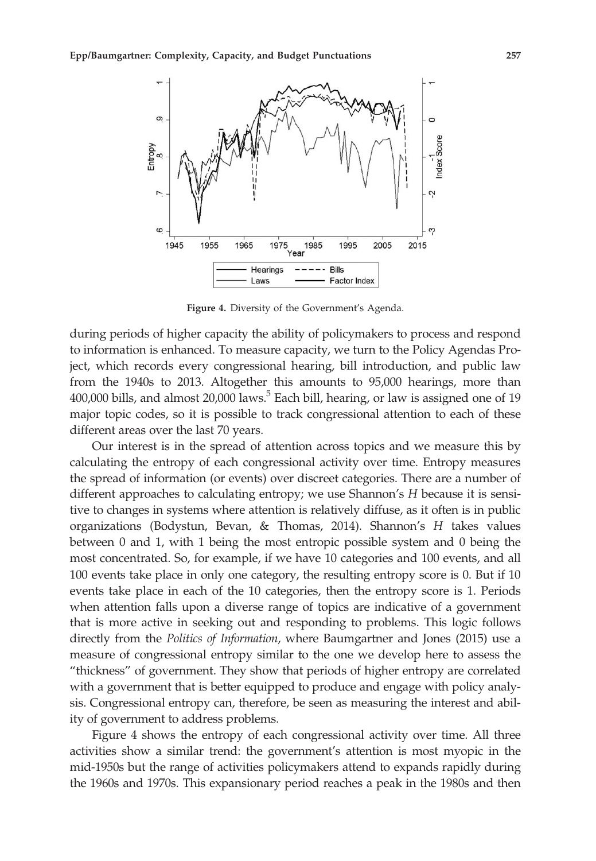

Figure 4. Diversity of the Government's Agenda.

during periods of higher capacity the ability of policymakers to process and respond to information is enhanced. To measure capacity, we turn to the Policy Agendas Project, which records every congressional hearing, bill introduction, and public law from the 1940s to 2013. Altogether this amounts to 95,000 hearings, more than 400,000 bills, and almost  $20,000$  laws.<sup>5</sup> Each bill, hearing, or law is assigned one of 19 major topic codes, so it is possible to track congressional attention to each of these different areas over the last 70 years.

Our interest is in the spread of attention across topics and we measure this by calculating the entropy of each congressional activity over time. Entropy measures the spread of information (or events) over discreet categories. There are a number of different approaches to calculating entropy; we use Shannon's H because it is sensitive to changes in systems where attention is relatively diffuse, as it often is in public organizations (Bodystun, Bevan, & Thomas, 2014). Shannon's H takes values between 0 and 1, with 1 being the most entropic possible system and 0 being the most concentrated. So, for example, if we have 10 categories and 100 events, and all 100 events take place in only one category, the resulting entropy score is 0. But if 10 events take place in each of the 10 categories, then the entropy score is 1. Periods when attention falls upon a diverse range of topics are indicative of a government that is more active in seeking out and responding to problems. This logic follows directly from the Politics of Information, where Baumgartner and Jones (2015) use a measure of congressional entropy similar to the one we develop here to assess the "thickness" of government. They show that periods of higher entropy are correlated with a government that is better equipped to produce and engage with policy analysis. Congressional entropy can, therefore, be seen as measuring the interest and ability of government to address problems.

Figure 4 shows the entropy of each congressional activity over time. All three activities show a similar trend: the government's attention is most myopic in the mid-1950s but the range of activities policymakers attend to expands rapidly during the 1960s and 1970s. This expansionary period reaches a peak in the 1980s and then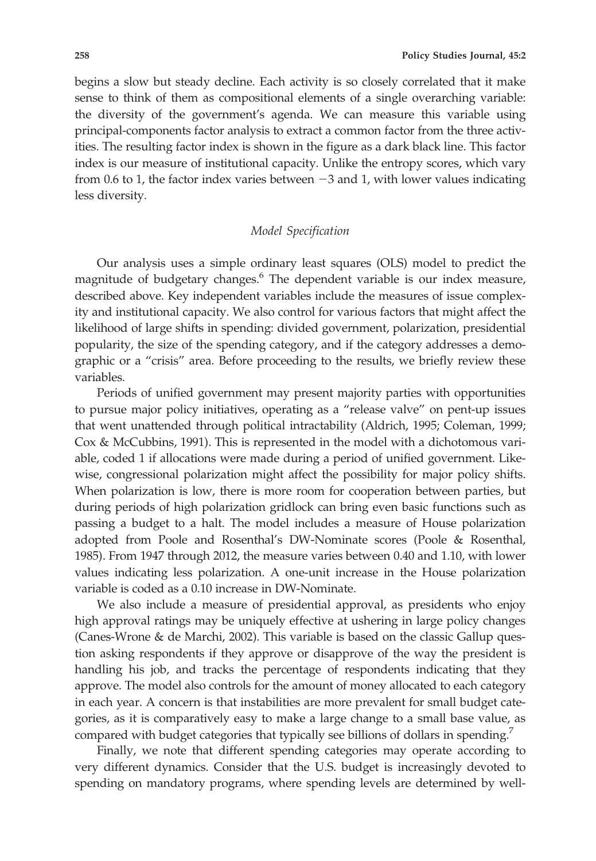begins a slow but steady decline. Each activity is so closely correlated that it make sense to think of them as compositional elements of a single overarching variable: the diversity of the government's agenda. We can measure this variable using principal-components factor analysis to extract a common factor from the three activities. The resulting factor index is shown in the figure as a dark black line. This factor index is our measure of institutional capacity. Unlike the entropy scores, which vary from 0.6 to 1, the factor index varies between  $-3$  and 1, with lower values indicating less diversity.

# Model Specification

Our analysis uses a simple ordinary least squares (OLS) model to predict the magnitude of budgetary changes.6 The dependent variable is our index measure, described above. Key independent variables include the measures of issue complexity and institutional capacity. We also control for various factors that might affect the likelihood of large shifts in spending: divided government, polarization, presidential popularity, the size of the spending category, and if the category addresses a demographic or a "crisis" area. Before proceeding to the results, we briefly review these variables.

Periods of unified government may present majority parties with opportunities to pursue major policy initiatives, operating as a "release valve" on pent-up issues that went unattended through political intractability (Aldrich, 1995; Coleman, 1999; Cox & McCubbins, 1991). This is represented in the model with a dichotomous variable, coded 1 if allocations were made during a period of unified government. Likewise, congressional polarization might affect the possibility for major policy shifts. When polarization is low, there is more room for cooperation between parties, but during periods of high polarization gridlock can bring even basic functions such as passing a budget to a halt. The model includes a measure of House polarization adopted from Poole and Rosenthal's DW-Nominate scores (Poole & Rosenthal, 1985). From 1947 through 2012, the measure varies between 0.40 and 1.10, with lower values indicating less polarization. A one-unit increase in the House polarization variable is coded as a 0.10 increase in DW-Nominate.

We also include a measure of presidential approval, as presidents who enjoy high approval ratings may be uniquely effective at ushering in large policy changes (Canes-Wrone & de Marchi, 2002). This variable is based on the classic Gallup question asking respondents if they approve or disapprove of the way the president is handling his job, and tracks the percentage of respondents indicating that they approve. The model also controls for the amount of money allocated to each category in each year. A concern is that instabilities are more prevalent for small budget categories, as it is comparatively easy to make a large change to a small base value, as compared with budget categories that typically see billions of dollars in spending.<sup>7</sup>

Finally, we note that different spending categories may operate according to very different dynamics. Consider that the U.S. budget is increasingly devoted to spending on mandatory programs, where spending levels are determined by well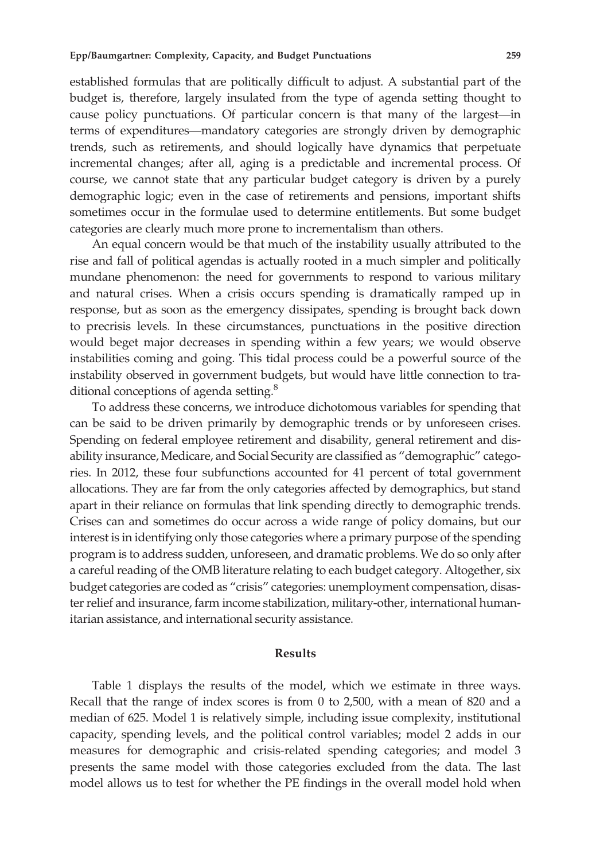established formulas that are politically difficult to adjust. A substantial part of the budget is, therefore, largely insulated from the type of agenda setting thought to cause policy punctuations. Of particular concern is that many of the largest—in terms of expenditures—mandatory categories are strongly driven by demographic trends, such as retirements, and should logically have dynamics that perpetuate incremental changes; after all, aging is a predictable and incremental process. Of course, we cannot state that any particular budget category is driven by a purely demographic logic; even in the case of retirements and pensions, important shifts sometimes occur in the formulae used to determine entitlements. But some budget categories are clearly much more prone to incrementalism than others.

An equal concern would be that much of the instability usually attributed to the rise and fall of political agendas is actually rooted in a much simpler and politically mundane phenomenon: the need for governments to respond to various military and natural crises. When a crisis occurs spending is dramatically ramped up in response, but as soon as the emergency dissipates, spending is brought back down to precrisis levels. In these circumstances, punctuations in the positive direction would beget major decreases in spending within a few years; we would observe instabilities coming and going. This tidal process could be a powerful source of the instability observed in government budgets, but would have little connection to traditional conceptions of agenda setting.<sup>8</sup>

To address these concerns, we introduce dichotomous variables for spending that can be said to be driven primarily by demographic trends or by unforeseen crises. Spending on federal employee retirement and disability, general retirement and disability insurance, Medicare, and Social Security are classified as "demographic" categories. In 2012, these four subfunctions accounted for 41 percent of total government allocations. They are far from the only categories affected by demographics, but stand apart in their reliance on formulas that link spending directly to demographic trends. Crises can and sometimes do occur across a wide range of policy domains, but our interest is in identifying only those categories where a primary purpose of the spending program is to address sudden, unforeseen, and dramatic problems. We do so only after a careful reading of the OMB literature relating to each budget category. Altogether, six budget categories are coded as "crisis" categories: unemployment compensation, disaster relief and insurance, farm income stabilization, military-other, international humanitarian assistance, and international security assistance.

#### Results

Table 1 displays the results of the model, which we estimate in three ways. Recall that the range of index scores is from 0 to 2,500, with a mean of 820 and a median of 625. Model 1 is relatively simple, including issue complexity, institutional capacity, spending levels, and the political control variables; model 2 adds in our measures for demographic and crisis-related spending categories; and model 3 presents the same model with those categories excluded from the data. The last model allows us to test for whether the PE findings in the overall model hold when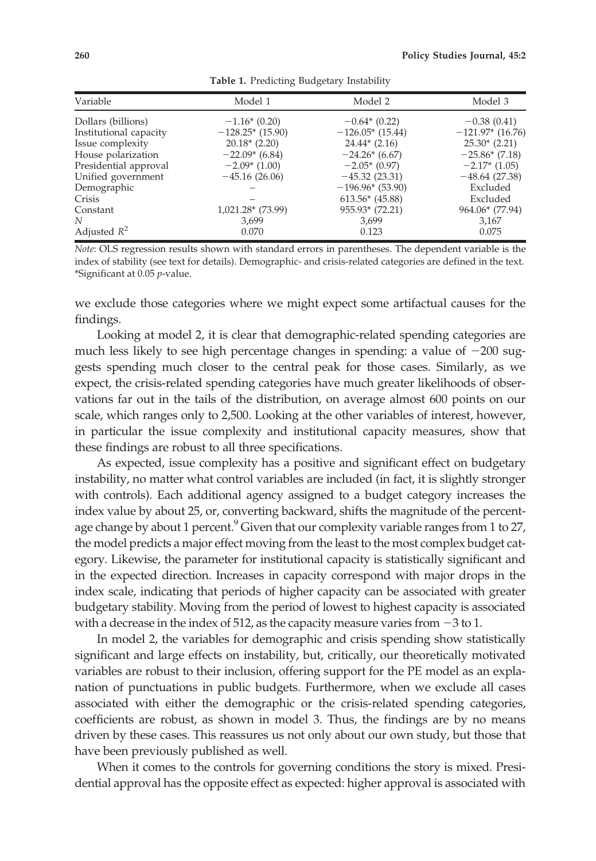| Variable               | Model 1                        | Model 2            | Model 3            |
|------------------------|--------------------------------|--------------------|--------------------|
| Dollars (billions)     | $-1.16*(0.20)$                 | $-0.64*(0.22)$     | $-0.38(0.41)$      |
| Institutional capacity | $-128.25$ <sup>*</sup> (15.90) | $-126.05*$ (15.44) | $-121.97*$ (16.76) |
| Issue complexity       | $20.18*(2.20)$                 | $24.44*(2.16)$     | $25.30*(2.21)$     |
| House polarization     | $-22.09*(6.84)$                | $-24.26*(6.67)$    | $-25.86*(7.18)$    |
| Presidential approval  | $-2.09*(1.00)$                 | $-2.05*(0.97)$     | $-2.17*(1.05)$     |
| Unified government     | $-45.16(26.06)$                | $-45.32(23.31)$    | $-48.64(27.38)$    |
| Demographic            |                                | $-196.96*(53.90)$  | Excluded           |
| Crisis                 |                                | $613.56*$ (45.88)  | Excluded           |
| Constant               | 1,021.28* (73.99)              | 955.93* (72.21)    | 964.06* (77.94)    |
| N                      | 3,699                          | 3,699              | 3,167              |
| Adjusted $R^2$         | 0.070                          | 0.123              | 0.075              |

Table 1. Predicting Budgetary Instability

Note: OLS regression results shown with standard errors in parentheses. The dependent variable is the index of stability (see text for details). Demographic- and crisis-related categories are defined in the text. \*Significant at 0.05 p-value.

we exclude those categories where we might expect some artifactual causes for the findings.

Looking at model 2, it is clear that demographic-related spending categories are much less likely to see high percentage changes in spending: a value of  $-200$  suggests spending much closer to the central peak for those cases. Similarly, as we expect, the crisis-related spending categories have much greater likelihoods of observations far out in the tails of the distribution, on average almost 600 points on our scale, which ranges only to 2,500. Looking at the other variables of interest, however, in particular the issue complexity and institutional capacity measures, show that these findings are robust to all three specifications.

As expected, issue complexity has a positive and significant effect on budgetary instability, no matter what control variables are included (in fact, it is slightly stronger with controls). Each additional agency assigned to a budget category increases the index value by about 25, or, converting backward, shifts the magnitude of the percentage change by about 1 percent. <sup>9</sup> Given that our complexity variable ranges from 1 to 27, the model predicts a major effect moving from the least to the most complex budget category. Likewise, the parameter for institutional capacity is statistically significant and in the expected direction. Increases in capacity correspond with major drops in the index scale, indicating that periods of higher capacity can be associated with greater budgetary stability. Moving from the period of lowest to highest capacity is associated with a decrease in the index of 512, as the capacity measure varies from  $-3$  to 1.

In model 2, the variables for demographic and crisis spending show statistically significant and large effects on instability, but, critically, our theoretically motivated variables are robust to their inclusion, offering support for the PE model as an explanation of punctuations in public budgets. Furthermore, when we exclude all cases associated with either the demographic or the crisis-related spending categories, coefficients are robust, as shown in model 3. Thus, the findings are by no means driven by these cases. This reassures us not only about our own study, but those that have been previously published as well.

When it comes to the controls for governing conditions the story is mixed. Presidential approval has the opposite effect as expected: higher approval is associated with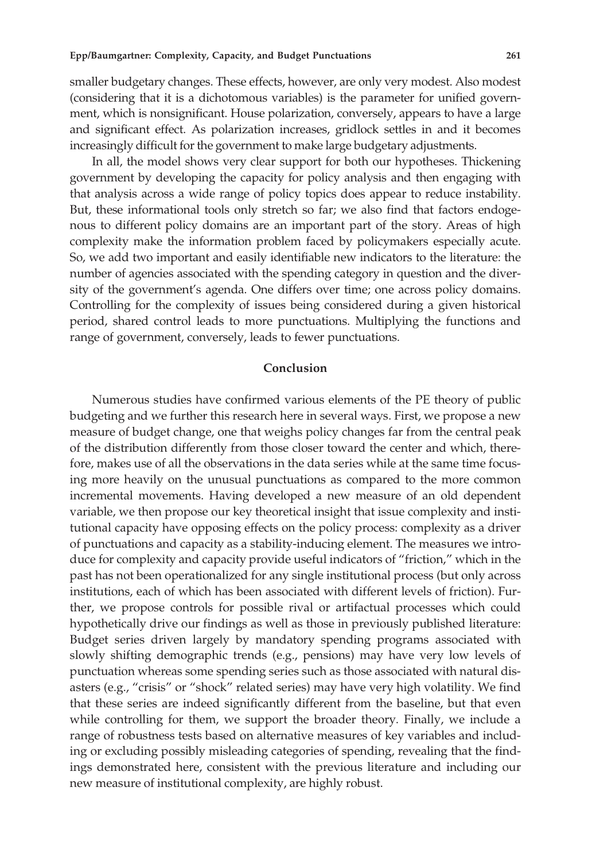smaller budgetary changes. These effects, however, are only very modest. Also modest (considering that it is a dichotomous variables) is the parameter for unified government, which is nonsignificant. House polarization, conversely, appears to have a large and significant effect. As polarization increases, gridlock settles in and it becomes increasingly difficult for the government to make large budgetary adjustments.

In all, the model shows very clear support for both our hypotheses. Thickening government by developing the capacity for policy analysis and then engaging with that analysis across a wide range of policy topics does appear to reduce instability. But, these informational tools only stretch so far; we also find that factors endogenous to different policy domains are an important part of the story. Areas of high complexity make the information problem faced by policymakers especially acute. So, we add two important and easily identifiable new indicators to the literature: the number of agencies associated with the spending category in question and the diversity of the government's agenda. One differs over time; one across policy domains. Controlling for the complexity of issues being considered during a given historical period, shared control leads to more punctuations. Multiplying the functions and range of government, conversely, leads to fewer punctuations.

# Conclusion

Numerous studies have confirmed various elements of the PE theory of public budgeting and we further this research here in several ways. First, we propose a new measure of budget change, one that weighs policy changes far from the central peak of the distribution differently from those closer toward the center and which, therefore, makes use of all the observations in the data series while at the same time focusing more heavily on the unusual punctuations as compared to the more common incremental movements. Having developed a new measure of an old dependent variable, we then propose our key theoretical insight that issue complexity and institutional capacity have opposing effects on the policy process: complexity as a driver of punctuations and capacity as a stability-inducing element. The measures we introduce for complexity and capacity provide useful indicators of "friction," which in the past has not been operationalized for any single institutional process (but only across institutions, each of which has been associated with different levels of friction). Further, we propose controls for possible rival or artifactual processes which could hypothetically drive our findings as well as those in previously published literature: Budget series driven largely by mandatory spending programs associated with slowly shifting demographic trends (e.g., pensions) may have very low levels of punctuation whereas some spending series such as those associated with natural disasters (e.g., "crisis" or "shock" related series) may have very high volatility. We find that these series are indeed significantly different from the baseline, but that even while controlling for them, we support the broader theory. Finally, we include a range of robustness tests based on alternative measures of key variables and including or excluding possibly misleading categories of spending, revealing that the findings demonstrated here, consistent with the previous literature and including our new measure of institutional complexity, are highly robust.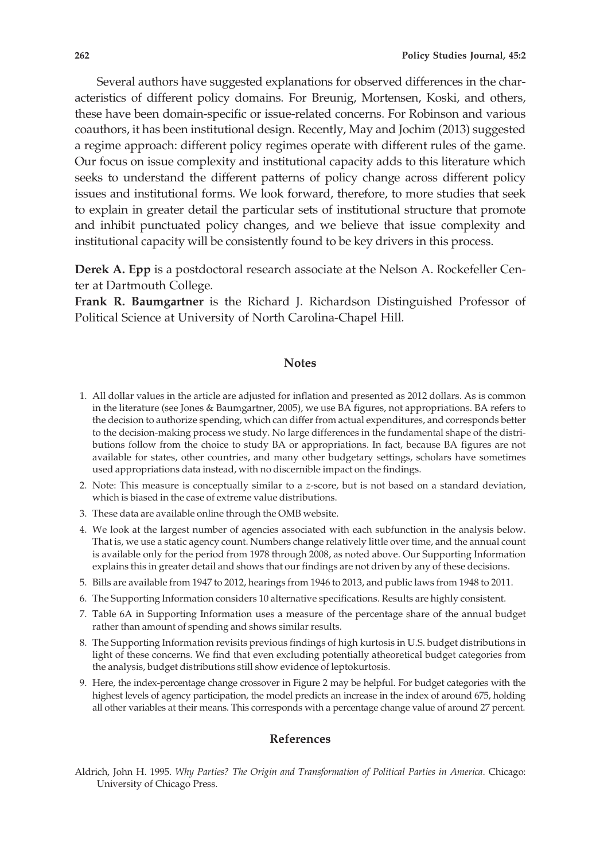Several authors have suggested explanations for observed differences in the characteristics of different policy domains. For Breunig, Mortensen, Koski, and others, these have been domain-specific or issue-related concerns. For Robinson and various coauthors, it has been institutional design. Recently, May and Jochim (2013) suggested a regime approach: different policy regimes operate with different rules of the game. Our focus on issue complexity and institutional capacity adds to this literature which seeks to understand the different patterns of policy change across different policy issues and institutional forms. We look forward, therefore, to more studies that seek to explain in greater detail the particular sets of institutional structure that promote and inhibit punctuated policy changes, and we believe that issue complexity and institutional capacity will be consistently found to be key drivers in this process.

Derek A. Epp is a postdoctoral research associate at the Nelson A. Rockefeller Center at Dartmouth College.

Frank R. Baumgartner is the Richard J. Richardson Distinguished Professor of Political Science at University of North Carolina-Chapel Hill.

#### **Notes**

- 1. All dollar values in the article are adjusted for inflation and presented as 2012 dollars. As is common in the literature (see Jones & Baumgartner, 2005), we use BA figures, not appropriations. BA refers to the decision to authorize spending, which can differ from actual expenditures, and corresponds better to the decision-making process we study. No large differences in the fundamental shape of the distributions follow from the choice to study BA or appropriations. In fact, because BA figures are not available for states, other countries, and many other budgetary settings, scholars have sometimes used appropriations data instead, with no discernible impact on the findings.
- 2. Note: This measure is conceptually similar to a z-score, but is not based on a standard deviation, which is biased in the case of extreme value distributions.
- 3. These data are available online through the OMB website.
- 4. We look at the largest number of agencies associated with each subfunction in the analysis below. That is, we use a static agency count. Numbers change relatively little over time, and the annual count is available only for the period from 1978 through 2008, as noted above. Our Supporting Information explains this in greater detail and shows that our findings are not driven by any of these decisions.
- 5. Bills are available from 1947 to 2012, hearings from 1946 to 2013, and public laws from 1948 to 2011.
- 6. The Supporting Information considers 10 alternative specifications. Results are highly consistent.
- 7. Table 6A in Supporting Information uses a measure of the percentage share of the annual budget rather than amount of spending and shows similar results.
- 8. The Supporting Information revisits previous findings of high kurtosis in U.S. budget distributions in light of these concerns. We find that even excluding potentially atheoretical budget categories from the analysis, budget distributions still show evidence of leptokurtosis.
- 9. Here, the index-percentage change crossover in Figure 2 may be helpful. For budget categories with the highest levels of agency participation, the model predicts an increase in the index of around 675, holding all other variables at their means. This corresponds with a percentage change value of around 27 percent.

## References

Aldrich, John H. 1995. Why Parties? The Origin and Transformation of Political Parties in America. Chicago: University of Chicago Press.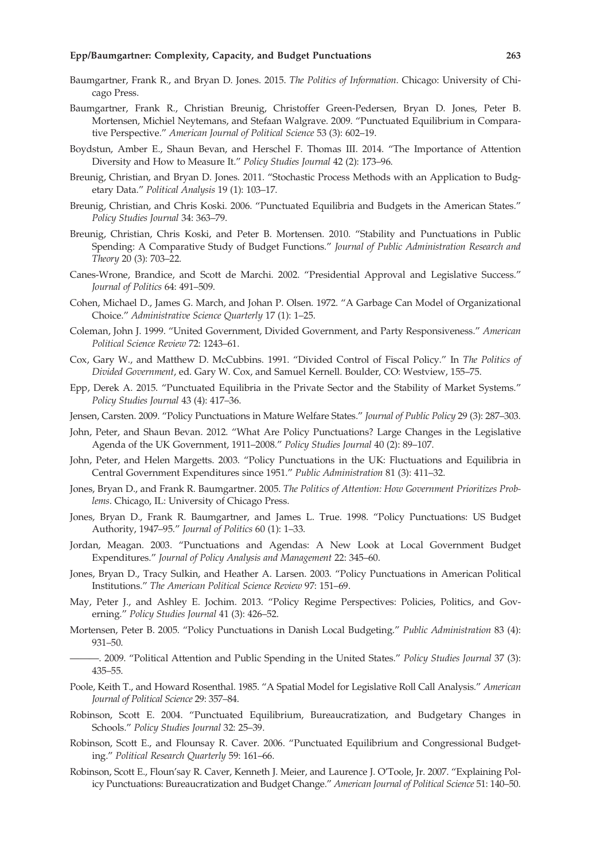#### Epp/Baumgartner: Complexity, Capacity, and Budget Punctuations 263

- Baumgartner, Frank R., and Bryan D. Jones. 2015. The Politics of Information. Chicago: University of Chicago Press.
- Baumgartner, Frank R., Christian Breunig, Christoffer Green-Pedersen, Bryan D. Jones, Peter B. Mortensen, Michiel Neytemans, and Stefaan Walgrave. 2009. "Punctuated Equilibrium in Comparative Perspective." American Journal of Political Science 53 (3): 602–19.
- Boydstun, Amber E., Shaun Bevan, and Herschel F. Thomas III. 2014. "The Importance of Attention Diversity and How to Measure It." Policy Studies Journal 42 (2): 173–96.
- Breunig, Christian, and Bryan D. Jones. 2011. "Stochastic Process Methods with an Application to Budgetary Data." Political Analysis 19 (1): 103–17.
- Breunig, Christian, and Chris Koski. 2006. "Punctuated Equilibria and Budgets in the American States." Policy Studies Journal 34: 363–79.
- Breunig, Christian, Chris Koski, and Peter B. Mortensen. 2010. "Stability and Punctuations in Public Spending: A Comparative Study of Budget Functions." Journal of Public Administration Research and Theory 20 (3): 703–22.
- Canes-Wrone, Brandice, and Scott de Marchi. 2002. "Presidential Approval and Legislative Success." Journal of Politics 64: 491–509.
- Cohen, Michael D., James G. March, and Johan P. Olsen. 1972. "A Garbage Can Model of Organizational Choice." Administrative Science Quarterly 17 (1): 1–25.
- Coleman, John J. 1999. "United Government, Divided Government, and Party Responsiveness." American Political Science Review 72: 1243–61.
- Cox, Gary W., and Matthew D. McCubbins. 1991. "Divided Control of Fiscal Policy." In The Politics of Divided Government, ed. Gary W. Cox, and Samuel Kernell. Boulder, CO: Westview, 155–75.
- Epp, Derek A. 2015. "Punctuated Equilibria in the Private Sector and the Stability of Market Systems." Policy Studies Journal 43 (4): 417–36.
- Jensen, Carsten. 2009. "Policy Punctuations in Mature Welfare States." Journal of Public Policy 29 (3): 287-303.
- John, Peter, and Shaun Bevan. 2012. "What Are Policy Punctuations? Large Changes in the Legislative Agenda of the UK Government, 1911–2008." Policy Studies Journal 40 (2): 89–107.
- John, Peter, and Helen Margetts. 2003. "Policy Punctuations in the UK: Fluctuations and Equilibria in Central Government Expenditures since 1951." Public Administration 81 (3): 411–32.
- Jones, Bryan D., and Frank R. Baumgartner. 2005. The Politics of Attention: How Government Prioritizes Problems. Chicago, IL: University of Chicago Press.
- Jones, Bryan D., Frank R. Baumgartner, and James L. True. 1998. "Policy Punctuations: US Budget Authority, 1947–95." Journal of Politics 60 (1): 1–33.
- Jordan, Meagan. 2003. "Punctuations and Agendas: A New Look at Local Government Budget Expenditures." Journal of Policy Analysis and Management 22: 345–60.
- Jones, Bryan D., Tracy Sulkin, and Heather A. Larsen. 2003. "Policy Punctuations in American Political Institutions." The American Political Science Review 97: 151–69.
- May, Peter J., and Ashley E. Jochim. 2013. "Policy Regime Perspectives: Policies, Politics, and Governing." Policy Studies Journal 41 (3): 426–52.
- Mortensen, Peter B. 2005. "Policy Punctuations in Danish Local Budgeting." Public Administration 83 (4): 931–50.

-. 2009. "Political Attention and Public Spending in the United States." Policy Studies Journal 37 (3): 435–55.

- Poole, Keith T., and Howard Rosenthal. 1985. "A Spatial Model for Legislative Roll Call Analysis." American Journal of Political Science 29: 357–84.
- Robinson, Scott E. 2004. "Punctuated Equilibrium, Bureaucratization, and Budgetary Changes in Schools." Policy Studies Journal 32: 25–39.
- Robinson, Scott E., and Flounsay R. Caver. 2006. "Punctuated Equilibrium and Congressional Budgeting." Political Research Quarterly 59: 161–66.
- Robinson, Scott E., Floun'say R. Caver, Kenneth J. Meier, and Laurence J. O'Toole, Jr. 2007. "Explaining Policy Punctuations: Bureaucratization and Budget Change." American Journal of Political Science 51: 140-50.